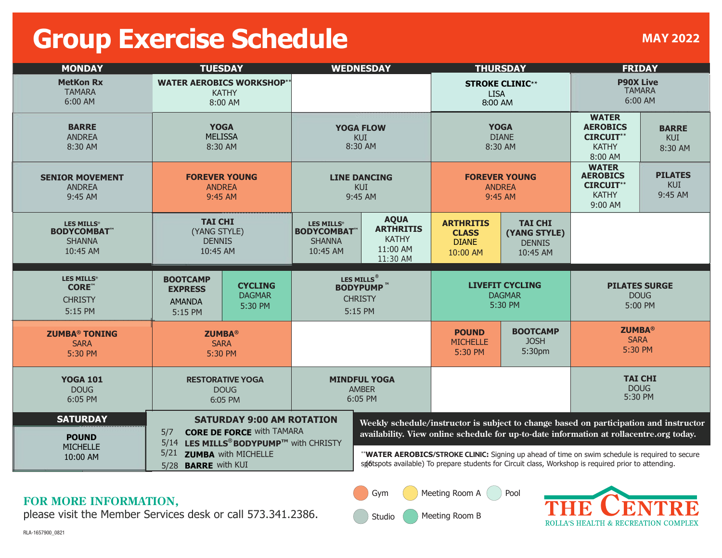## **Group Exercise Schedule**

| <b>MONDAY</b>                                                       | <b>TUESDAY</b>                                                                                                                                                                                           |                                            | <b>WEDNESDAY</b>                                                         |                                                                         | <b>THURSDAY</b>                                              |                                                             | <b>FRIDAY</b>                                                                         |                                       |
|---------------------------------------------------------------------|----------------------------------------------------------------------------------------------------------------------------------------------------------------------------------------------------------|--------------------------------------------|--------------------------------------------------------------------------|-------------------------------------------------------------------------|--------------------------------------------------------------|-------------------------------------------------------------|---------------------------------------------------------------------------------------|---------------------------------------|
| <b>MetKon Rx</b><br><b>TAMARA</b><br>6:00 AM                        | <b>WATER AEROBICS WORKSHOP**</b><br><b>KATHY</b><br>8:00 AM                                                                                                                                              |                                            |                                                                          |                                                                         | <b>STROKE CLINIC**</b><br><b>LISA</b><br>8:00 AM             |                                                             | <b>P90X Live</b><br><b>TAMARA</b><br>6:00 AM                                          |                                       |
| <b>BARRE</b><br><b>ANDREA</b><br>8:30 AM                            | <b>YOGA</b><br><b>MELISSA</b><br>8:30 AM                                                                                                                                                                 |                                            | <b>YOGA FLOW</b><br><b>KUI</b><br>8:30 AM                                |                                                                         | <b>YOGA</b><br><b>DIANE</b><br>8:30 AM                       |                                                             | <b>WATER</b><br><b>AEROBICS</b><br><b>CIRCUIT**</b><br><b>KATHY</b><br>8:00 AM        | <b>BARRE</b><br><b>KUI</b><br>8:30 AM |
| <b>SENIOR MOVEMENT</b><br><b>ANDREA</b><br>9:45 AM                  | <b>FOREVER YOUNG</b><br><b>ANDREA</b><br>9:45 AM                                                                                                                                                         |                                            | <b>LINE DANCING</b><br><b>KUI</b><br>9:45 AM                             |                                                                         | <b>FOREVER YOUNG</b><br><b>ANDREA</b><br>9:45 AM             |                                                             | <b>WATER</b><br><b>AEROBICS</b><br><b>CIRCUIT**</b><br><b>KATHY</b><br>9:00 AM        | <b>PILATES</b><br>KUI<br>9:45 AM      |
| <b>LES MILLS®</b><br><b>BODYCOMBAT</b><br><b>SHANNA</b><br>10:45 AM | <b>TAI CHI</b><br>(YANG STYLE)<br><b>DENNIS</b><br>10:45 AM                                                                                                                                              |                                            | LES MILLS <sup>®</sup><br><b>BODYCOMBAT</b><br><b>SHANNA</b><br>10:45 AM | <b>AQUA</b><br><b>ARTHRITIS</b><br><b>KATHY</b><br>11:00 AM<br>11:30 AM | <b>ARTHRITIS</b><br><b>CLASS</b><br><b>DIANE</b><br>10:00 AM | <b>TAI CHI</b><br>(YANG STYLE)<br><b>DENNIS</b><br>10:45 AM |                                                                                       |                                       |
| <b>LES MILLS®</b><br><b>CORE™</b><br><b>CHRISTY</b><br>5:15 PM      | <b>BOOTCAMP</b><br><b>EXPRESS</b><br><b>AMANDA</b><br>5:15 PM                                                                                                                                            | <b>CYCLING</b><br><b>DAGMAR</b><br>5:30 PM | LES MILLS <sup>®</sup><br><b>BODYPUMP™</b><br><b>CHRISTY</b><br>5:15 PM  |                                                                         | <b>LIVEFIT CYCLING</b><br><b>DAGMAR</b><br>5:30 PM           |                                                             | <b>PILATES SURGE</b><br><b>DOUG</b><br>5:00 PM                                        |                                       |
| <b>ZUMBA® TONING</b><br><b>SARA</b><br>5:30 PM                      | <b>ZUMBA®</b><br><b>SARA</b><br>5:30 PM                                                                                                                                                                  |                                            |                                                                          |                                                                         | <b>POUND</b><br><b>MICHELLE</b><br>5:30 PM                   | <b>BOOTCAMP</b><br><b>JOSH</b><br>5:30pm                    | <b>ZUMBA®</b><br><b>SARA</b><br>5:30 PM                                               |                                       |
| <b>YOGA 101</b><br><b>DOUG</b><br>6:05 PM                           | <b>RESTORATIVE YOGA</b><br><b>DOUG</b><br>6:05 PM                                                                                                                                                        |                                            | <b>MINDFUL YOGA</b><br><b>AMBER</b><br>6:05 PM                           |                                                                         |                                                              |                                                             | <b>TAI CHI</b><br><b>DOUG</b><br>5:30 PM                                              |                                       |
| <b>SATURDAY</b>                                                     | <b>SATURDAY 9:00 AM ROTATION</b><br><b>CORE DE FORCE WIth TAMARA</b><br>5/7<br>LES MILLS <sup>®</sup> BODYPUMP™ with CHRISTY<br>5/14<br>5/21<br><b>ZUMBA</b> with MICHELLE<br>5/28 <b>BARRE</b> with KUI |                                            |                                                                          |                                                                         |                                                              |                                                             | Weekly schedule/instructor is subject to change based on participation and instructor |                                       |

## **FOR MORE INFORMATION,**

please visit the Member Services desk or call 573.341.2386.

Meeting Room B Studio

Gym

Meeting Room A ( ) Pool